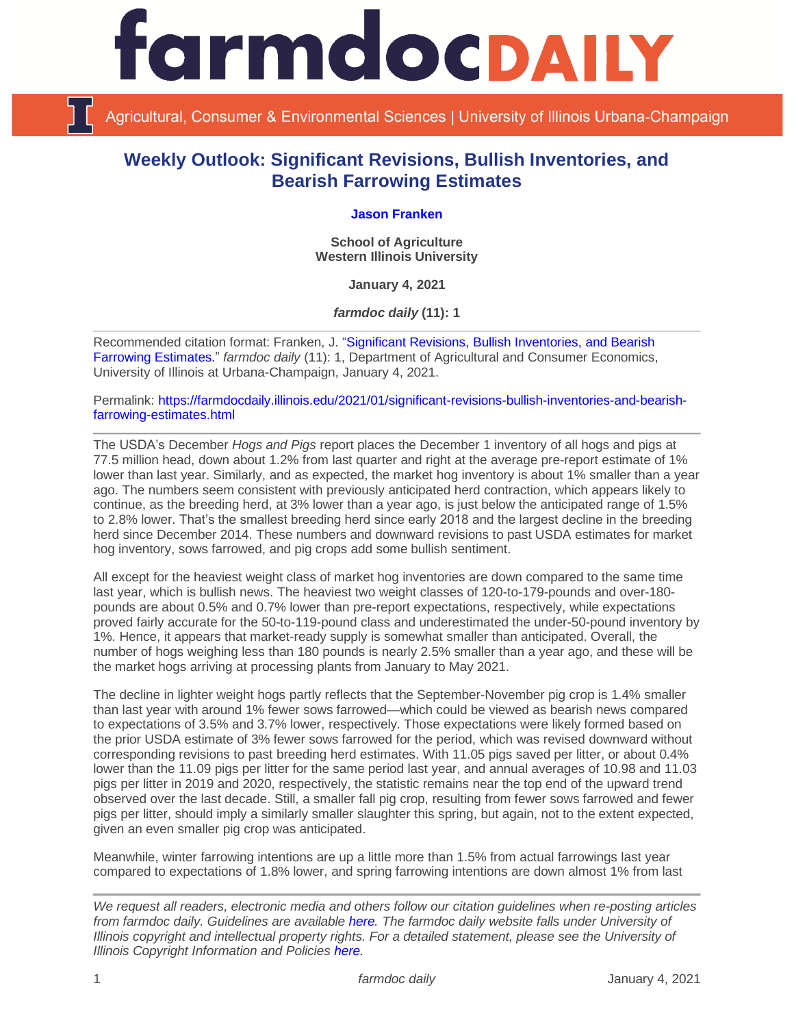

Agricultural, Consumer & Environmental Sciences | University of Illinois Urbana-Champaign

## **Weekly Outlook: Significant Revisions, Bullish Inventories, and Bearish Farrowing Estimates**

## **[Jason Franken](http://www.wiu.edu/cbt/agriculture/faculty_staff/franken.php)**

**School of Agriculture Western Illinois University**

**January 4, 2021**

*farmdoc daily* **(11): 1**

Recommended citation format: Franken, J. ["Significant Revisions, Bullish Inventories, and Bearish](https://farmdocdaily.illinois.edu/2021/01/significant-revisions-bullish-inventories-and-bearish-farrowing-estimates.html)  [Farrowing Estimates.](https://farmdocdaily.illinois.edu/2021/01/significant-revisions-bullish-inventories-and-bearish-farrowing-estimates.html)" *farmdoc daily* (11): 1, Department of Agricultural and Consumer Economics, University of Illinois at Urbana-Champaign, January 4, 2021.

Permalink: [https://farmdocdaily.illinois.edu/2021/01/significant-revisions-bullish-inventories-and-bearish](https://farmdocdaily.illinois.edu/2021/01/significant-revisions-bullish-inventories-and-bearish-farrowing-estimates.html)[farrowing-estimates.html](https://farmdocdaily.illinois.edu/2021/01/significant-revisions-bullish-inventories-and-bearish-farrowing-estimates.html)

The USDA's December *Hogs and Pigs* report places the December 1 inventory of all hogs and pigs at 77.5 million head, down about 1.2% from last quarter and right at the average pre-report estimate of 1% lower than last year. Similarly, and as expected, the market hog inventory is about 1% smaller than a year ago. The numbers seem consistent with previously anticipated herd contraction, which appears likely to continue, as the breeding herd, at 3% lower than a year ago, is just below the anticipated range of 1.5% to 2.8% lower. That's the smallest breeding herd since early 2018 and the largest decline in the breeding herd since December 2014. These numbers and downward revisions to past USDA estimates for market hog inventory, sows farrowed, and pig crops add some bullish sentiment.

All except for the heaviest weight class of market hog inventories are down compared to the same time last year, which is bullish news. The heaviest two weight classes of 120-to-179-pounds and over-180 pounds are about 0.5% and 0.7% lower than pre-report expectations, respectively, while expectations proved fairly accurate for the 50-to-119-pound class and underestimated the under-50-pound inventory by 1%. Hence, it appears that market-ready supply is somewhat smaller than anticipated. Overall, the number of hogs weighing less than 180 pounds is nearly 2.5% smaller than a year ago, and these will be the market hogs arriving at processing plants from January to May 2021.

The decline in lighter weight hogs partly reflects that the September-November pig crop is 1.4% smaller than last year with around 1% fewer sows farrowed—which could be viewed as bearish news compared to expectations of 3.5% and 3.7% lower, respectively. Those expectations were likely formed based on the prior USDA estimate of 3% fewer sows farrowed for the period, which was revised downward without corresponding revisions to past breeding herd estimates. With 11.05 pigs saved per litter, or about 0.4% lower than the 11.09 pigs per litter for the same period last year, and annual averages of 10.98 and 11.03 pigs per litter in 2019 and 2020, respectively, the statistic remains near the top end of the upward trend observed over the last decade. Still, a smaller fall pig crop, resulting from fewer sows farrowed and fewer pigs per litter, should imply a similarly smaller slaughter this spring, but again, not to the extent expected, given an even smaller pig crop was anticipated.

Meanwhile, winter farrowing intentions are up a little more than 1.5% from actual farrowings last year compared to expectations of 1.8% lower, and spring farrowing intentions are down almost 1% from last

*We request all readers, electronic media and others follow our citation guidelines when re-posting articles from farmdoc daily. Guidelines are available [here.](http://farmdocdaily.illinois.edu/citationguide.html) The farmdoc daily website falls under University of Illinois copyright and intellectual property rights. For a detailed statement, please see the University of Illinois Copyright Information and Policies [here.](http://www.cio.illinois.edu/policies/copyright/)*